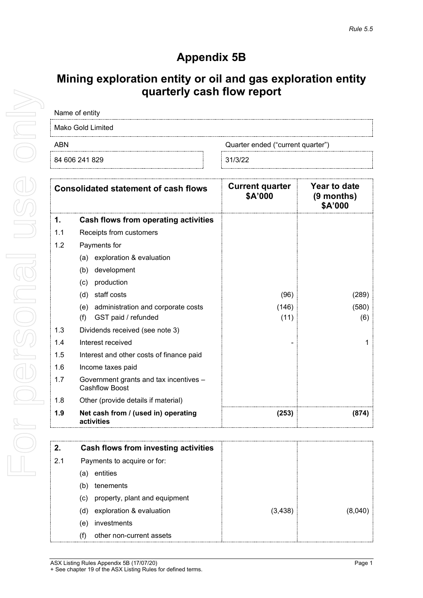## **Appendix 5B**

## **Mining exploration entity or oil and gas exploration entity quarterly cash flow report**

| Name of entity                           |  |         |  |  |
|------------------------------------------|--|---------|--|--|
| Mako Gold Limited                        |  |         |  |  |
| ABN<br>Quarter ended ("current quarter") |  |         |  |  |
| 84 606 241 829                           |  | 31/3/22 |  |  |

| <b>Consolidated statement of cash flows</b> |                                                                 | <b>Current quarter</b><br>\$A'000 | Year to date<br>$(9$ months)<br>\$A'000 |
|---------------------------------------------|-----------------------------------------------------------------|-----------------------------------|-----------------------------------------|
| 1.                                          | Cash flows from operating activities                            |                                   |                                         |
| 1.1                                         | Receipts from customers                                         |                                   |                                         |
| 1.2                                         | Payments for                                                    |                                   |                                         |
|                                             | exploration & evaluation<br>(a)                                 |                                   |                                         |
|                                             | development<br>(b)                                              |                                   |                                         |
|                                             | production<br>(c)                                               |                                   |                                         |
|                                             | staff costs<br>(d)                                              | (96)                              | (289)                                   |
|                                             | administration and corporate costs<br>(e)                       | (146)                             | (580)                                   |
|                                             | (f)<br>GST paid / refunded                                      | (11)                              | (6)                                     |
| 1.3                                         | Dividends received (see note 3)                                 |                                   |                                         |
| 1.4                                         | Interest received                                               |                                   |                                         |
| 1.5                                         | Interest and other costs of finance paid                        |                                   |                                         |
| 1.6                                         | Income taxes paid                                               |                                   |                                         |
| 1.7                                         | Government grants and tax incentives -<br><b>Cashflow Boost</b> |                                   |                                         |
| 1.8                                         | Other (provide details if material)                             |                                   |                                         |
| 1.9                                         | Net cash from / (used in) operating<br>activities               | (253)                             | (874)                                   |

|     | Cash flows from investing activities |         |  |
|-----|--------------------------------------|---------|--|
| 2.1 | Payments to acquire or for:          |         |  |
|     | entities<br>a                        |         |  |
|     | tenements                            |         |  |
|     | property, plant and equipment<br>(c) |         |  |
|     | exploration & evaluation<br>(d)      | (3,438) |  |
|     | investments<br>(e)                   |         |  |
|     | other non-current assets             |         |  |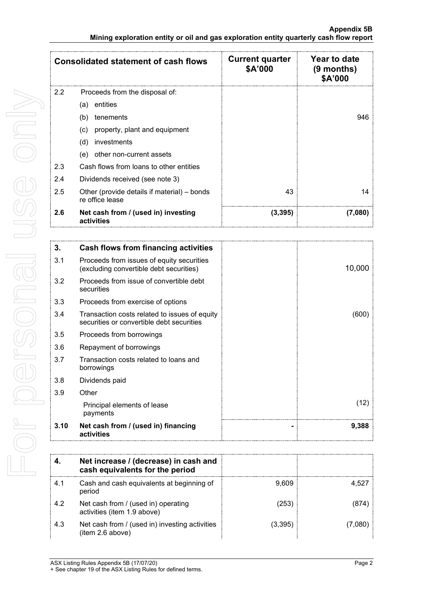| <b>Consolidated statement of cash flows</b> |                                                                | <b>Current quarter</b><br>\$A'000 | Year to date<br>$(9$ months)<br>\$A'000 |
|---------------------------------------------|----------------------------------------------------------------|-----------------------------------|-----------------------------------------|
| 2.2                                         | Proceeds from the disposal of:                                 |                                   |                                         |
|                                             | entities<br>(a)                                                |                                   |                                         |
|                                             | (b)<br>tenements                                               |                                   | 946                                     |
|                                             | property, plant and equipment<br>(C)                           |                                   |                                         |
|                                             | investments<br>(d)                                             |                                   |                                         |
|                                             | other non-current assets<br>(e)                                |                                   |                                         |
| 2.3                                         | Cash flows from loans to other entities                        |                                   |                                         |
| 2.4                                         | Dividends received (see note 3)                                |                                   |                                         |
| 2.5                                         | Other (provide details if material) – bonds<br>re office lease | 43                                | 14                                      |
| 2.6                                         | Net cash from / (used in) investing<br>activities              | (3,395)                           | (7,080)                                 |

| 3.   | Cash flows from financing activities                                                       |   |        |
|------|--------------------------------------------------------------------------------------------|---|--------|
| 3.1  | Proceeds from issues of equity securities<br>(excluding convertible debt securities)       |   | 10,000 |
| 3.2  | Proceeds from issue of convertible debt<br>securities                                      |   |        |
| 3.3  | Proceeds from exercise of options                                                          |   |        |
| 3.4  | Transaction costs related to issues of equity<br>securities or convertible debt securities |   | (600)  |
| 3.5  | Proceeds from borrowings                                                                   |   |        |
| 3.6  | Repayment of borrowings                                                                    |   |        |
| 3.7  | Transaction costs related to loans and<br>borrowings                                       |   |        |
| 3.8  | Dividends paid                                                                             |   |        |
| 3.9  | Other                                                                                      |   |        |
|      | Principal elements of lease<br>payments                                                    |   | (12)   |
| 3.10 | Net cash from / (used in) financing<br>activities                                          | - | 9,388  |

|     | Net increase / (decrease) in cash and<br>cash equivalents for the period |         |  |
|-----|--------------------------------------------------------------------------|---------|--|
| 4.1 | Cash and cash equivalents at beginning of<br>period                      | 9,609   |  |
| 4.2 | Net cash from / (used in) operating<br>activities (item 1.9 above)       | (253)   |  |
| 4.3 | Net cash from / (used in) investing activities<br>(item 2.6 above)       | (3,395) |  |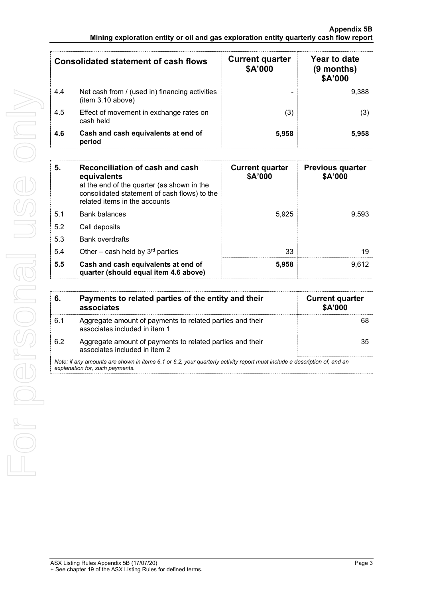| Consolidated statement of cash flows |                                                                     | <b>Current quarter</b><br>\$A'000 | Year to date<br>$(9$ months)<br>\$A'000 |
|--------------------------------------|---------------------------------------------------------------------|-----------------------------------|-----------------------------------------|
| 4.4                                  | Net cash from / (used in) financing activities<br>(item 3.10 above) | -                                 |                                         |
| 4.5                                  | Effect of movement in exchange rates on<br>cash held                |                                   |                                         |
| 4.6                                  | Cash and cash equivalents at end of<br>period                       | 5.958                             |                                         |

| 5.  | Reconciliation of cash and cash<br>equivalents<br>at the end of the quarter (as shown in the<br>consolidated statement of cash flows) to the<br>related items in the accounts | <b>Current quarter</b><br>\$A'000 | <b>Previous quarter</b><br>\$A'000 |
|-----|-------------------------------------------------------------------------------------------------------------------------------------------------------------------------------|-----------------------------------|------------------------------------|
| 5.1 | Bank balances                                                                                                                                                                 | 5.925                             | 9.593                              |
| 5.2 | Call deposits                                                                                                                                                                 |                                   |                                    |
| 5.3 | <b>Bank overdrafts</b>                                                                                                                                                        |                                   |                                    |
| 5.4 | Other – cash held by $3rd$ parties                                                                                                                                            | 33                                |                                    |
| 5.5 | Cash and cash equivalents at end of<br>quarter (should equal item 4.6 above)                                                                                                  | 5.958                             | 9.612                              |

| 6.  | Payments to related parties of the entity and their<br>associates                                                                                           | <b>Current quarter</b><br><b>\$A'000</b> |
|-----|-------------------------------------------------------------------------------------------------------------------------------------------------------------|------------------------------------------|
| 6.1 | Aggregate amount of payments to related parties and their<br>associates included in item 1                                                                  |                                          |
| 6.2 | Aggregate amount of payments to related parties and their<br>associates included in item 2                                                                  |                                          |
|     | Note: if any amounts are shown in items 6.1 or 6.2, your quarterly activity report must include a description of, and an<br>explanation for, such payments. |                                          |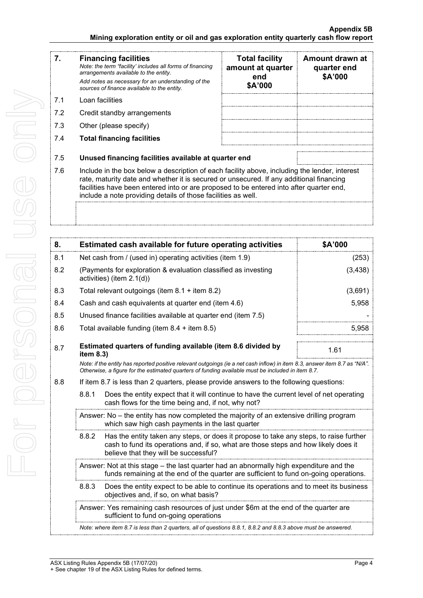$7.1$ 

| 7.  | <b>Financing facilities</b><br>Note: the term "facility' includes all forms of financing<br>arrangements available to the entity.<br>Add notes as necessary for an understanding of the<br>sources of finance available to the entity. | <b>Total facility</b><br>amount at quarter<br>end<br>\$A'000 | Amount drawn at<br>quarter end<br>\$A'000 |
|-----|----------------------------------------------------------------------------------------------------------------------------------------------------------------------------------------------------------------------------------------|--------------------------------------------------------------|-------------------------------------------|
| 7.1 | Loan facilities                                                                                                                                                                                                                        |                                                              |                                           |
| 7.2 | Credit standby arrangements                                                                                                                                                                                                            |                                                              |                                           |
| 7.3 | Other (please specify)                                                                                                                                                                                                                 |                                                              |                                           |
| 7.4 | <b>Total financing facilities</b>                                                                                                                                                                                                      |                                                              |                                           |
| 7.5 | Unused financing facilities available at quarter end                                                                                                                                                                                   |                                                              |                                           |
| 7.6 | Include in the box below a description of each facility above, including the lender, interest<br>rate maturity date and whether it is secured or unsecured. If any additional financing                                                |                                                              |                                           |

7.6 Include in the box below a description of each facility above, including the lender, interest rate, maturity date and whether it is secured or unsecured. If any additional financing facilities have been entered into or are proposed to be entered into after quarter end, include a note providing details of those facilities as well.

| 8.  |                                                                                                                                                                                                                                 | Estimated cash available for future operating activities                                                                                                                                                                        | \$A'000  |  |
|-----|---------------------------------------------------------------------------------------------------------------------------------------------------------------------------------------------------------------------------------|---------------------------------------------------------------------------------------------------------------------------------------------------------------------------------------------------------------------------------|----------|--|
| 8.1 | Net cash from / (used in) operating activities (item 1.9)                                                                                                                                                                       |                                                                                                                                                                                                                                 | (253)    |  |
| 8.2 | (Payments for exploration & evaluation classified as investing<br>activities) (item 2.1(d))                                                                                                                                     |                                                                                                                                                                                                                                 | (3, 438) |  |
| 8.3 |                                                                                                                                                                                                                                 | Total relevant outgoings (item $8.1 +$ item $8.2$ )                                                                                                                                                                             | (3,691)  |  |
| 8.4 |                                                                                                                                                                                                                                 | Cash and cash equivalents at quarter end (item 4.6)                                                                                                                                                                             | 5,958    |  |
| 8.5 |                                                                                                                                                                                                                                 | Unused finance facilities available at quarter end (item 7.5)                                                                                                                                                                   |          |  |
| 8.6 |                                                                                                                                                                                                                                 | Total available funding (item $8.4 +$ item $8.5$ )                                                                                                                                                                              | 5,958    |  |
| 8.7 | item 8.3)                                                                                                                                                                                                                       | Estimated quarters of funding available (item 8.6 divided by                                                                                                                                                                    | 1.61     |  |
|     |                                                                                                                                                                                                                                 | Note: if the entity has reported positive relevant outgoings (ie a net cash inflow) in item 8.3, answer item 8.7 as "N/A".<br>Otherwise, a figure for the estimated quarters of funding available must be included in item 8.7. |          |  |
| 8.8 | If item 8.7 is less than 2 quarters, please provide answers to the following questions:                                                                                                                                         |                                                                                                                                                                                                                                 |          |  |
|     | 8.8.1<br>Does the entity expect that it will continue to have the current level of net operating<br>cash flows for the time being and, if not, why not?                                                                         |                                                                                                                                                                                                                                 |          |  |
|     |                                                                                                                                                                                                                                 | Answer: No - the entity has now completed the majority of an extensive drilling program<br>which saw high cash payments in the last quarter                                                                                     |          |  |
|     | 8.8.2<br>Has the entity taken any steps, or does it propose to take any steps, to raise further<br>cash to fund its operations and, if so, what are those steps and how likely does it<br>believe that they will be successful? |                                                                                                                                                                                                                                 |          |  |
|     | Answer: Not at this stage – the last quarter had an abnormally high expenditure and the<br>funds remaining at the end of the quarter are sufficient to fund on-going operations.                                                |                                                                                                                                                                                                                                 |          |  |
|     | 8.8.3<br>Does the entity expect to be able to continue its operations and to meet its business<br>objectives and, if so, on what basis?                                                                                         |                                                                                                                                                                                                                                 |          |  |
|     |                                                                                                                                                                                                                                 | Answer: Yes remaining cash resources of just under \$6m at the end of the quarter are<br>sufficient to fund on-going operations                                                                                                 |          |  |
|     |                                                                                                                                                                                                                                 | Note: where item 8.7 is less than 2 quarters, all of questions 8.8.1, 8.8.2 and 8.8.3 above must be answered.                                                                                                                   |          |  |
|     |                                                                                                                                                                                                                                 |                                                                                                                                                                                                                                 |          |  |